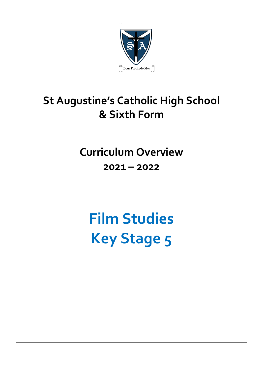

# **St Augustine's Catholic High School & Sixth Form**

**Curriculum Overview 2021 – 2022**

**Film Studies Key Stage 5**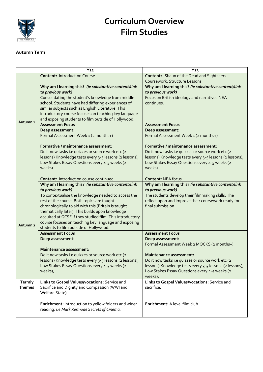

## **Curriculum Overview Film Studies**

#### **Autumn Term**

|                     | Y <sub>12</sub>                                                                                                                                                                                                                                                                                                                                                                                                                                        | $Y_13$                                                                                                                                                                                                          |
|---------------------|--------------------------------------------------------------------------------------------------------------------------------------------------------------------------------------------------------------------------------------------------------------------------------------------------------------------------------------------------------------------------------------------------------------------------------------------------------|-----------------------------------------------------------------------------------------------------------------------------------------------------------------------------------------------------------------|
|                     | <b>Content: Introduction Course</b>                                                                                                                                                                                                                                                                                                                                                                                                                    | Content: Shaun of the Dead and Sightseers                                                                                                                                                                       |
| Autumn <sub>1</sub> |                                                                                                                                                                                                                                                                                                                                                                                                                                                        | Coursework: Structure Lessons                                                                                                                                                                                   |
|                     | Why am I learning this? (ie substantive content/link<br>to previous work)<br>Consolidating the student's knowledge from middle<br>school. Students have had differing experiences of                                                                                                                                                                                                                                                                   | Why am I learning this? (ie substantive content/link<br>to previous work)<br>Focus on British ideology and narrative. NEA<br>continues.                                                                         |
|                     | similar subjects such as English Literature. This<br>introductory course focuses on teaching key language<br>and exposing students to film outside of Hollywood.                                                                                                                                                                                                                                                                                       |                                                                                                                                                                                                                 |
|                     | <b>Assessment Focus</b><br>Deep assessment:<br>Formal Assessment Week 1 (2 months+)                                                                                                                                                                                                                                                                                                                                                                    | <b>Assessment Focus</b><br>Deep assessment:<br>Formal Assessment Week 1 (2 months+)                                                                                                                             |
|                     | Formative / maintenance assessment:<br>Do it now tasks i.e quizzes or source work etc (2<br>lessons) Knowledge tests every 3-5 lessons (2 lessons),<br>Low Stakes Essay Questions every 4-5 weeks (2<br>weeks).                                                                                                                                                                                                                                        | Formative / maintenance assessment:<br>Do it now tasks i.e quizzes or source work etc (2<br>lessons) Knowledge tests every 3-5 lessons (2 lessons),<br>Low Stakes Essay Questions every 4-5 weeks (2<br>weeks). |
| Autumn <sub>2</sub> | <b>Content: Introduction course continued</b>                                                                                                                                                                                                                                                                                                                                                                                                          | <b>Content: NEA focus</b>                                                                                                                                                                                       |
|                     | Why am I learning this? (ie substantive content/link<br>to previous work)<br>To contextualise the knowledge needed to access the<br>rest of the course. Both topics are taught<br>chronologically to aid with this (Britain is taught<br>thematically later). This builds upon knowledge<br>acquired at GCSE if they studied film. This introductory<br>course focuses on teaching key language and exposing<br>students to film outside of Hollywood. | Why am I learning this? (ie substantive content/link<br>to previous work)<br>The students develop their filmmaking skills. The<br>reflect upon and improve their coursework ready for<br>final submission.      |
|                     | <b>Assessment Focus</b><br>Deep assessment:<br>Maintenance assessment:                                                                                                                                                                                                                                                                                                                                                                                 | <b>Assessment Focus</b><br>Deep assessment:<br>Formal Assessment Week 2 MOCKS (2 months+)                                                                                                                       |
|                     | Do it now tasks i.e quizzes or source work etc (2<br>lessons) Knowledge tests every 3-5 lessons (2 lessons),<br>Low Stakes Essay Questions every 4-5 weeks (2<br>weeks),                                                                                                                                                                                                                                                                               | Maintenance assessment:<br>Do it now tasks i.e quizzes or source work etc (2<br>lessons) Knowledge tests every 3-5 lessons (2 lessons),<br>Low Stakes Essay Questions every 4-5 weeks (2<br>weeks).             |
| Termly<br>themes    | Links to Gospel Values/vocations: Service and<br>Sacrifice and Dignity and Compassion (WWI and<br>Welfare State).                                                                                                                                                                                                                                                                                                                                      | Links to Gospel Values/vocations: Service and<br>sacrifice.                                                                                                                                                     |
|                     | Enrichment: Introduction to yellow folders and wider<br>reading. i.e Mark Kermode Secrets of Cinema.                                                                                                                                                                                                                                                                                                                                                   | Enrichment: A level film club.                                                                                                                                                                                  |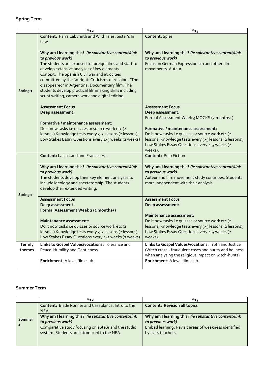### **Spring Term**

|          | $Y_{12}$                                                                                                                                                                                                                                                                                                                                                                             | $Y_{13}$                                                                                                       |
|----------|--------------------------------------------------------------------------------------------------------------------------------------------------------------------------------------------------------------------------------------------------------------------------------------------------------------------------------------------------------------------------------------|----------------------------------------------------------------------------------------------------------------|
| Spring 1 | Content: Pan's Labyrinth and Wild Tales. Sister's In<br>Law                                                                                                                                                                                                                                                                                                                          | <b>Content: Spies</b>                                                                                          |
|          | Why am I learning this? (ie substantive content/link<br>to previous work)                                                                                                                                                                                                                                                                                                            | Why am I learning this? (ie substantive content/link<br>to previous work)                                      |
|          | The students are exposed to foreign films and start to<br>develop extensive analyses of key elements.<br>Context: The Spanish Civil war and atrocities<br>committed by the far right. Criticisms of religion. "The<br>disappeared" in Argentina. Documentary film. The<br>students develop practical filmmaking skills including<br>script writing, camera work and digital editing. | Focus on German Expressionism and other film<br>movements. Auteur.                                             |
|          | <b>Assessment Focus</b>                                                                                                                                                                                                                                                                                                                                                              | <b>Assessment Focus</b>                                                                                        |
|          | Deep assessment:                                                                                                                                                                                                                                                                                                                                                                     | Deep assessment:                                                                                               |
|          | Formative / maintenance assessment:                                                                                                                                                                                                                                                                                                                                                  | Formal Assessment Week 3 MOCKS (2 months+)                                                                     |
|          | Do it now tasks i.e quizzes or source work etc (2                                                                                                                                                                                                                                                                                                                                    | Formative / maintenance assessment:                                                                            |
|          | lessons) Knowledge tests every 3-5 lessons (2 lessons),                                                                                                                                                                                                                                                                                                                              | Do it now tasks i.e quizzes or source work etc (2                                                              |
|          | Low Stakes Essay Questions every 4-5 weeks (2 weeks)                                                                                                                                                                                                                                                                                                                                 | lessons) Knowledge tests every 3-5 lessons (2 lessons),                                                        |
|          |                                                                                                                                                                                                                                                                                                                                                                                      | Low Stakes Essay Questions every 4-5 weeks (2                                                                  |
|          | Content: La La Land and Frances Ha.                                                                                                                                                                                                                                                                                                                                                  | weeks).<br><b>Content: Pulp Fiction</b>                                                                        |
|          |                                                                                                                                                                                                                                                                                                                                                                                      |                                                                                                                |
|          | Why am I learning this? (ie substantive content/link                                                                                                                                                                                                                                                                                                                                 | Why am I learning this? (ie substantive content/link                                                           |
|          | to previous work)                                                                                                                                                                                                                                                                                                                                                                    | to previous work)                                                                                              |
|          | The students develop their key element analyses to<br>include ideology and spectatorship. The students                                                                                                                                                                                                                                                                               | Auteur and film movement study continues. Students<br>more independent with their analysis.                    |
| Spring 2 | develop their extended writing.                                                                                                                                                                                                                                                                                                                                                      |                                                                                                                |
|          | <b>Assessment Focus</b>                                                                                                                                                                                                                                                                                                                                                              | <b>Assessment Focus</b>                                                                                        |
|          | Deep assessment:                                                                                                                                                                                                                                                                                                                                                                     | Deep assessment:                                                                                               |
|          | Formal Assessment Week 2 (2 months+)                                                                                                                                                                                                                                                                                                                                                 | Maintenance assessment:                                                                                        |
|          | Maintenance assessment:                                                                                                                                                                                                                                                                                                                                                              | Do it now tasks i.e quizzes or source work etc (2                                                              |
|          | Do it now tasks i.e quizzes or source work etc (2                                                                                                                                                                                                                                                                                                                                    | lessons) Knowledge tests every 3-5 lessons (2 lessons),                                                        |
|          | lessons) Knowledge tests every 3-5 lessons (2 lessons),                                                                                                                                                                                                                                                                                                                              | Low Stakes Essay Questions every 4-5 weeks (2                                                                  |
|          | Low Stakes Essay Questions every 4-5 weeks (2 weeks)                                                                                                                                                                                                                                                                                                                                 | weeks).                                                                                                        |
| Termly   | Links to Gospel Values/vocations: Tolerance and                                                                                                                                                                                                                                                                                                                                      | Links to Gospel Values/vocations: Truth and Justice                                                            |
| themes   | Peace. Humility and Gentleness.                                                                                                                                                                                                                                                                                                                                                      | (Witch craze - fraudulent cases and purity and holiness<br>when analysing the religious impact on witch-hunts) |
|          | Enrichment: A level film club.                                                                                                                                                                                                                                                                                                                                                       | Enrichment: A level film club.                                                                                 |
|          |                                                                                                                                                                                                                                                                                                                                                                                      |                                                                                                                |

#### **Summer Term**

|        | $Y_{12}$                                                                                                                                                                        | Y1วุ                                                                                                                                                    |
|--------|---------------------------------------------------------------------------------------------------------------------------------------------------------------------------------|---------------------------------------------------------------------------------------------------------------------------------------------------------|
|        | <b>Content: Blade Runner and Casablanca. Intro to the</b><br><b>NEA</b>                                                                                                         | <b>Content: Revision all topics</b>                                                                                                                     |
| Summer | Why am I learning this? (ie substantive content/link<br>to previous work)<br>Comparative study focusing on auteur and the studio<br>system. Students are introduced to the NEA. | Why am I learning this? (ie substantive content/link<br>to previous work)<br>Embed learning. Revisit areas of weakness identified<br>by class teachers. |